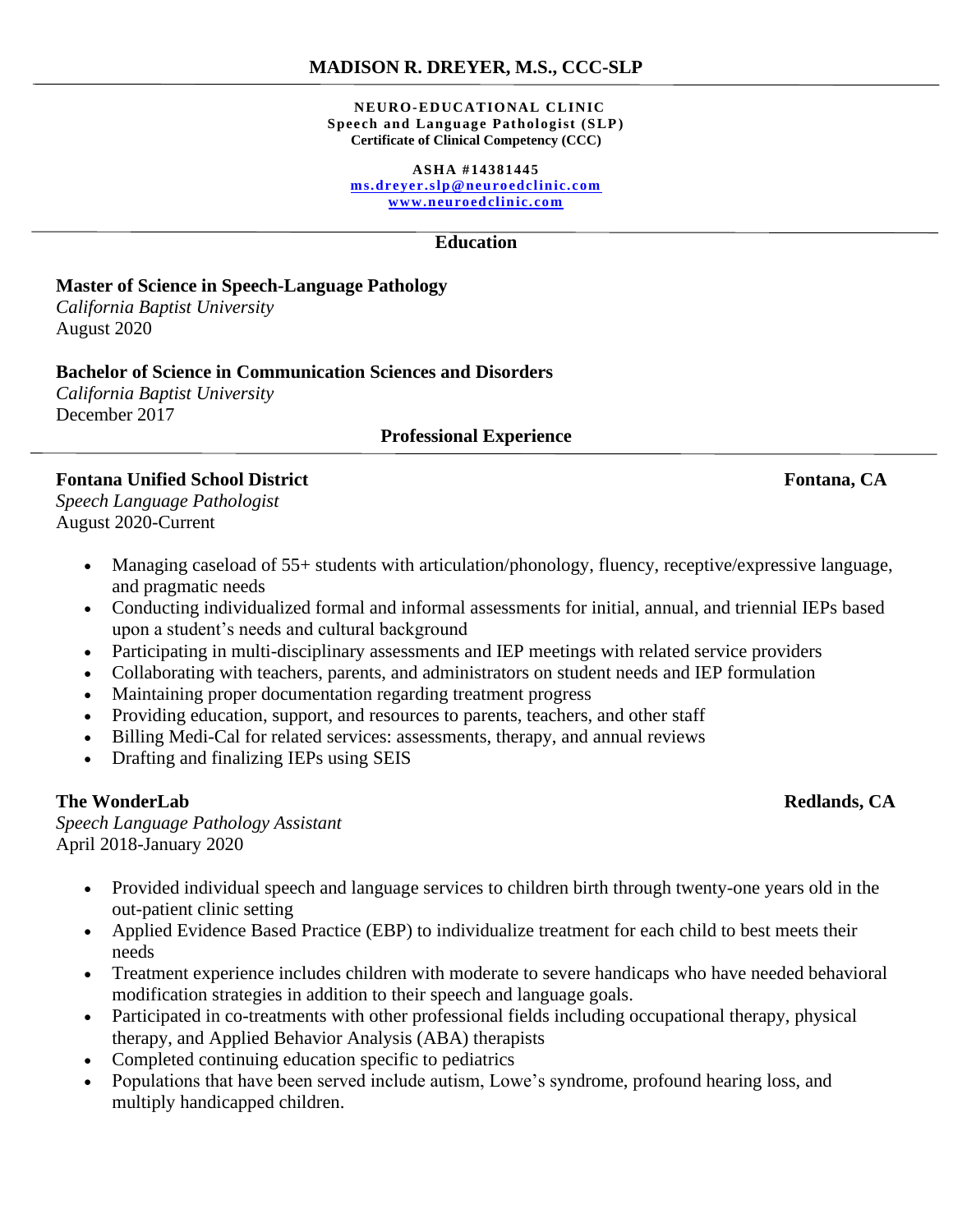#### **MADISON R. DREYER, M.S., CCC-SLP**

#### **NEURO-EDUCATIONAL CLINIC Speech and Language Pathologist (SLP) Certificate of Clinical Competency (CCC)**

**ASHA #14381445 [ms.dreyer.slp@neuro edclinic.com](mailto:ms.dreyer.slp@neuroedclinic.com)**

**[www.neuroedclinic.com](http://www.neuroedclinic.com/)**

#### **Education**

# **Master of Science in Speech-Language Pathology**

*California Baptist University*  August 2020

#### **Bachelor of Science in Communication Sciences and Disorders**

*California Baptist University*  December 2017

#### **Professional Experience**

## **Fontana Unified School District Fontana, CA**

*Speech Language Pathologist*  August 2020-Current

- Managing caseload of 55+ students with articulation/phonology, fluency, receptive/expressive language, and pragmatic needs
- Conducting individualized formal and informal assessments for initial, annual, and triennial IEPs based upon a student's needs and cultural background
- Participating in multi-disciplinary assessments and IEP meetings with related service providers
- Collaborating with teachers, parents, and administrators on student needs and IEP formulation
- Maintaining proper documentation regarding treatment progress
- Providing education, support, and resources to parents, teachers, and other staff
- Billing Medi-Cal for related services: assessments, therapy, and annual reviews
- Drafting and finalizing IEPs using SEIS

#### **The WonderLab Redlands, CA**

*Speech Language Pathology Assistant*  April 2018-January 2020

- Provided individual speech and language services to children birth through twenty-one years old in the out-patient clinic setting
- Applied Evidence Based Practice (EBP) to individualize treatment for each child to best meets their needs
- Treatment experience includes children with moderate to severe handicaps who have needed behavioral modification strategies in addition to their speech and language goals.
- Participated in co-treatments with other professional fields including occupational therapy, physical therapy, and Applied Behavior Analysis (ABA) therapists
- Completed continuing education specific to pediatrics
- Populations that have been served include autism, Lowe's syndrome, profound hearing loss, and multiply handicapped children.